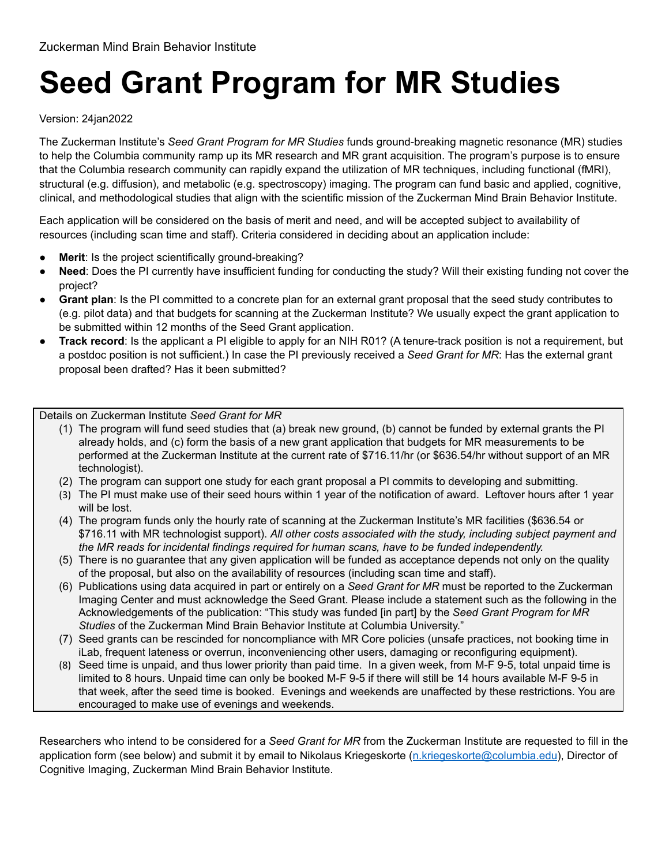## **Seed Grant Program for MR Studies**

## Version: 24jan2022

The Zuckerman Institute's *Seed Grant Program for MR Studies* funds ground-breaking magnetic resonance (MR) studies to help the Columbia community ramp up its MR research and MR grant acquisition. The program's purpose is to ensure that the Columbia research community can rapidly expand the utilization of MR techniques, including functional (fMRI), structural (e.g. diffusion), and metabolic (e.g. spectroscopy) imaging. The program can fund basic and applied, cognitive, clinical, and methodological studies that align with the scientific mission of the Zuckerman Mind Brain Behavior Institute.

Each application will be considered on the basis of merit and need, and will be accepted subject to availability of resources (including scan time and staff). Criteria considered in deciding about an application include:

- **Merit:** Is the project scientifically ground-breaking?
- **Need**: Does the PI currently have insufficient funding for conducting the study? Will their existing funding not cover the project?
- **Grant plan**: Is the PI committed to a concrete plan for an external grant proposal that the seed study contributes to (e.g. pilot data) and that budgets for scanning at the Zuckerman Institute? We usually expect the grant application to be submitted within 12 months of the Seed Grant application.
- **Track record**: Is the applicant a PI eligible to apply for an NIH R01? (A tenure-track position is not a requirement, but a postdoc position is not sufficient.) In case the PI previously received a *Seed Grant for MR*: Has the external grant proposal been drafted? Has it been submitted?

Details on Zuckerman Institute *Seed Grant for MR*

- (1) The program will fund seed studies that (a) break new ground, (b) cannot be funded by external grants the PI already holds, and (c) form the basis of a new grant application that budgets for MR measurements to be performed at the Zuckerman Institute at the current rate of \$716.11/hr (or \$636.54/hr without support of an MR technologist).
- (2) The program can support one study for each grant proposal a PI commits to developing and submitting.
- (3) The PI must make use of their seed hours within 1 year of the notification of award. Leftover hours after 1 year will be lost.
- (4) The program funds only the hourly rate of scanning at the Zuckerman Institute's MR facilities (\$636.54 or \$716.11 with MR technologist support). *All other costs associated with the study, including subject payment and the MR reads for incidental findings required for human scans, have to be funded independently.*
- (5) There is no guarantee that any given application will be funded as acceptance depends not only on the quality of the proposal, but also on the availability of resources (including scan time and staff).
- (6) Publications using data acquired in part or entirely on a *Seed Grant for MR* must be reported to the Zuckerman Imaging Center and must acknowledge the Seed Grant. Please include a statement such as the following in the Acknowledgements of the publication: "This study was funded [in part] by the *Seed Grant Program for MR Studies* of the Zuckerman Mind Brain Behavior Institute at Columbia University."
- (7) Seed grants can be rescinded for noncompliance with MR Core policies (unsafe practices, not booking time in iLab, frequent lateness or overrun, inconveniencing other users, damaging or reconfiguring equipment).
- (8) Seed time is unpaid, and thus lower priority than paid time. In a given week, from M-F 9-5, total unpaid time is limited to 8 hours. Unpaid time can only be booked M-F 9-5 if there will still be 14 hours available M-F 9-5 in that week, after the seed time is booked. Evenings and weekends are unaffected by these restrictions. You are encouraged to make use of evenings and weekends.

Researchers who intend to be considered for a *Seed Grant for MR* from the Zuckerman Institute are requested to fill in the application form (see below) and submit it by email to Nikolaus Kriegeskorte ([n.kriegeskorte@columbia.edu\)](mailto:n.kriegeskorte@columbia.edu), Director of Cognitive Imaging, Zuckerman Mind Brain Behavior Institute.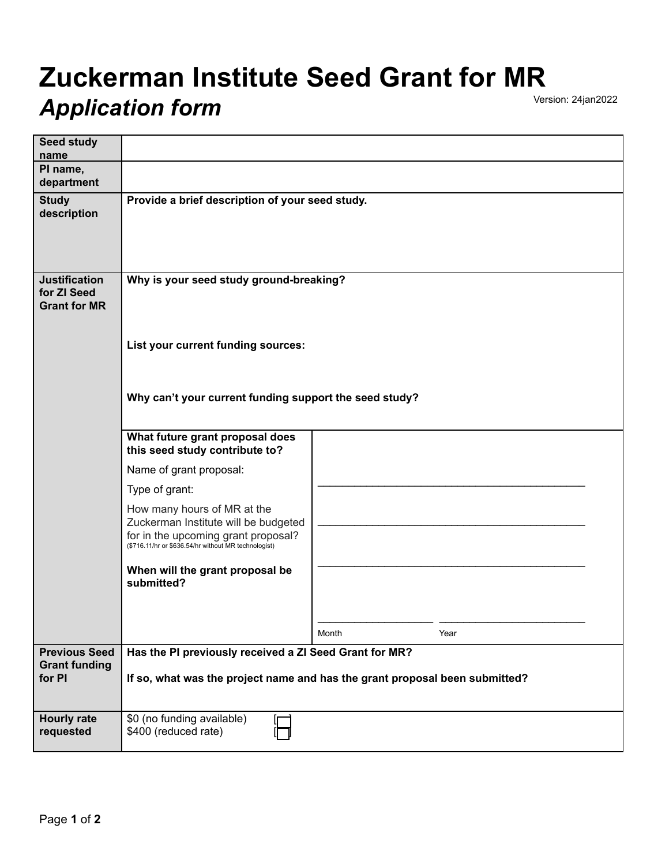## **Zuckerman Institute Seed Grant for MR Application form**

| <b>Seed study</b><br>name                                  |                                                                                                                                                                    |       |      |
|------------------------------------------------------------|--------------------------------------------------------------------------------------------------------------------------------------------------------------------|-------|------|
| PI name,<br>department                                     |                                                                                                                                                                    |       |      |
| <b>Study</b><br>description                                | Provide a brief description of your seed study.                                                                                                                    |       |      |
| <b>Justification</b><br>for ZI Seed<br><b>Grant for MR</b> | Why is your seed study ground-breaking?                                                                                                                            |       |      |
|                                                            | List your current funding sources:                                                                                                                                 |       |      |
|                                                            | Why can't your current funding support the seed study?                                                                                                             |       |      |
|                                                            | What future grant proposal does<br>this seed study contribute to?                                                                                                  |       |      |
|                                                            | Name of grant proposal:                                                                                                                                            |       |      |
|                                                            | Type of grant:                                                                                                                                                     |       |      |
|                                                            | How many hours of MR at the<br>Zuckerman Institute will be budgeted<br>for in the upcoming grant proposal?<br>(\$716.11/hr or \$636.54/hr without MR technologist) |       |      |
|                                                            | When will the grant proposal be<br>submitted?                                                                                                                      |       |      |
|                                                            |                                                                                                                                                                    |       |      |
|                                                            |                                                                                                                                                                    | Month | Year |
| <b>Previous Seed</b><br><b>Grant funding</b>               | Has the PI previously received a ZI Seed Grant for MR?                                                                                                             |       |      |
| for PI                                                     | If so, what was the project name and has the grant proposal been submitted?                                                                                        |       |      |
| <b>Hourly rate</b><br>requested                            | \$0 (no funding available)<br>\$400 (reduced rate)                                                                                                                 |       |      |